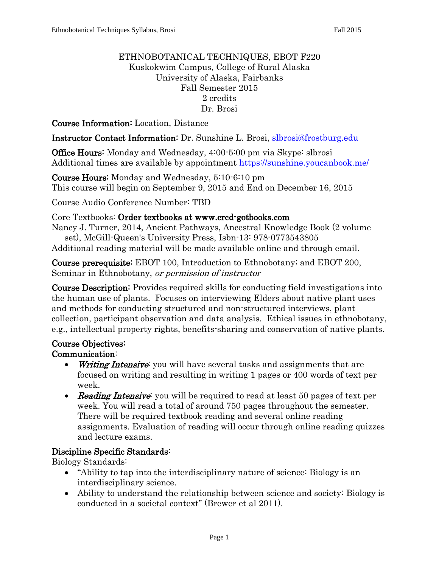#### ETHNOBOTANICAL TECHNIQUES, EBOT F220 Kuskokwim Campus, College of Rural Alaska University of Alaska, Fairbanks Fall Semester 2015 2 credits Dr. Brosi

#### Course Information: Location, Distance

Instructor Contact Information: Dr. Sunshine L. Brosi, [slbrosi@frostburg.edu](mailto:slbrosi@frostburg.edu)

Office Hours: Monday and Wednesday, 4:00-5:00 pm via Skype: slbrosi Additional times are available by appointment<https://sunshine.youcanbook.me/>

Course Hours: Monday and Wednesday, 5:10-6:10 pm This course will begin on September 9, 2015 and End on December 16, 2015

Course Audio Conference Number: TBD

Core Textbooks: Order textbooks at www.crcd-gotbooks.com

Nancy J. Turner, 2014, Ancient Pathways, Ancestral Knowledge Book (2 volume set), McGill-Queen's University Press, Isbn-13: 978-0773543805

Additional reading material will be made available online and through email.

Course prerequisite: EBOT 100, Introduction to Ethnobotany; and EBOT 200, Seminar in Ethnobotany, or permission of instructor

Course Description: Provides required skills for conducting field investigations into the human use of plants. Focuses on interviewing Elders about native plant uses and methods for conducting structured and non-structured interviews, plant collection, participant observation and data analysis. Ethical issues in ethnobotany, e.g., intellectual property rights, benefits-sharing and conservation of native plants.

## Course Objectives:

#### Communication:

- Writing Intensive: you will have several tasks and assignments that are focused on writing and resulting in writing 1 pages or 400 words of text per week.
- Reading Intensive: you will be required to read at least 50 pages of text per week. You will read a total of around 750 pages throughout the semester. There will be required textbook reading and several online reading assignments. Evaluation of reading will occur through online reading quizzes and lecture exams.

## Discipline Specific Standards:

Biology Standards:

- "Ability to tap into the interdisciplinary nature of science: Biology is an interdisciplinary science.
- Ability to understand the relationship between science and society: Biology is conducted in a societal context" (Brewer et al 2011).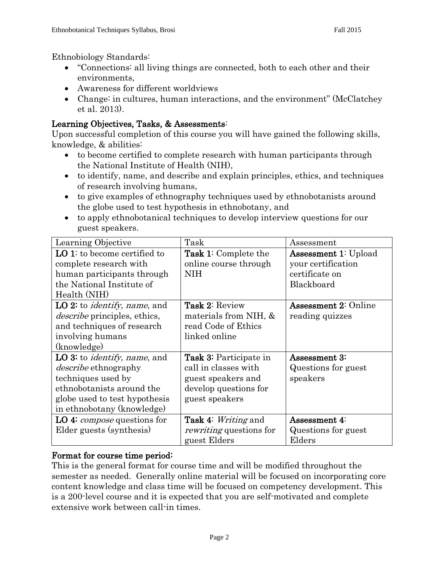Ethnobiology Standards:

- "Connections: all living things are connected, both to each other and their environments,
- Awareness for different worldviews
- Change: in cultures, human interactions, and the environment" (McClatchey et al. 2013).

## Learning Objectives, Tasks, & Assessments:

Upon successful completion of this course you will have gained the following skills, knowledge, & abilities:

- to become certified to complete research with human participants through the National Institute of Health (NIH),
- to identify, name, and describe and explain principles, ethics, and techniques of research involving humans,
- to give examples of ethnography techniques used by ethnobotanists around the globe used to test hypothesis in ethnobotany, and
- to apply ethnobotanical techniques to develop interview questions for our guest speakers.

| Learning Objective                           | Task                              | Assessment                  |  |
|----------------------------------------------|-----------------------------------|-----------------------------|--|
| LO 1: to become certified to                 | <b>Task 1:</b> Complete the       | <b>Assessment 1: Upload</b> |  |
| complete research with                       | online course through             | your certification          |  |
| human participants through                   | <b>NIH</b>                        | certificate on              |  |
| the National Institute of                    |                                   | Blackboard                  |  |
| Health (NIH)                                 |                                   |                             |  |
| LO 2: to <i>identify</i> , <i>name</i> , and | <b>Task 2: Review</b>             | <b>Assessment 2: Online</b> |  |
| <i>describe</i> principles, ethics,          | materials from NIH, &             | reading quizzes             |  |
| and techniques of research                   | read Code of Ethics               |                             |  |
| involving humans                             | linked online                     |                             |  |
| (knowledge)                                  |                                   |                             |  |
| LO 3: to <i>identify</i> , <i>name</i> , and | <b>Task 3:</b> Participate in     | Assessment 3:               |  |
| <i>describe</i> ethnography                  | call in classes with              | Questions for guest         |  |
| techniques used by                           | guest speakers and                | speakers                    |  |
| ethnobotanists around the                    | develop questions for             |                             |  |
| globe used to test hypothesis                | guest speakers                    |                             |  |
| in ethnobotany (knowledge)                   |                                   |                             |  |
| LO 4: <i>compose</i> questions for           | <b>Task 4:</b> <i>Writing</i> and | Assessment 4:               |  |
| Elder guests (synthesis)                     | <i>rewriting</i> questions for    | Questions for guest         |  |
|                                              | guest Elders                      | Elders                      |  |

#### Format for course time period:

This is the general format for course time and will be modified throughout the semester as needed. Generally online material will be focused on incorporating core content knowledge and class time will be focused on competency development. This is a 200-level course and it is expected that you are self-motivated and complete extensive work between call-in times.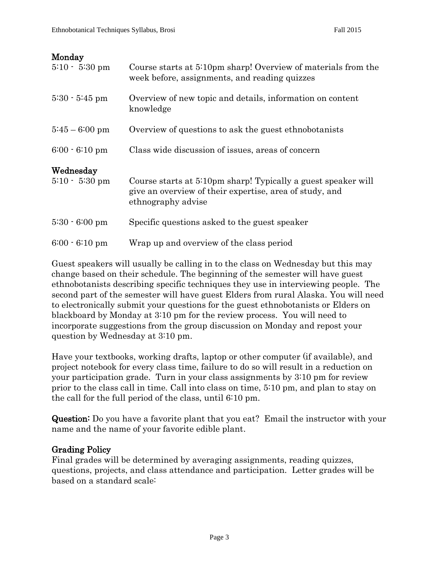#### Monday

| $5:10 - 5:30$ pm              | Course starts at 5:10pm sharp! Overview of materials from the<br>week before, assignments, and reading quizzes                                 |
|-------------------------------|------------------------------------------------------------------------------------------------------------------------------------------------|
| $5:30 - 5:45$ pm              | Overview of new topic and details, information on content<br>knowledge                                                                         |
| $5:45-6:00 \text{ pm}$        | Overview of questions to ask the guest ethnobotanists                                                                                          |
| $6:00 - 6:10$ pm              | Class wide discussion of issues, areas of concern                                                                                              |
| Wednesday<br>$5:10 - 5:30$ pm | Course starts at 5:10pm sharp! Typically a guest speaker will<br>give an overview of their expertise, area of study, and<br>ethnography advise |
| $5:30 - 6:00$ pm              | Specific questions asked to the guest speaker                                                                                                  |
| $6:00 - 6:10$ pm              | Wrap up and overview of the class period                                                                                                       |

Guest speakers will usually be calling in to the class on Wednesday but this may change based on their schedule. The beginning of the semester will have guest ethnobotanists describing specific techniques they use in interviewing people. The second part of the semester will have guest Elders from rural Alaska. You will need to electronically submit your questions for the guest ethnobotanists or Elders on blackboard by Monday at 3:10 pm for the review process. You will need to incorporate suggestions from the group discussion on Monday and repost your question by Wednesday at 3:10 pm.

Have your textbooks, working drafts, laptop or other computer (if available), and project notebook for every class time, failure to do so will result in a reduction on your participation grade. Turn in your class assignments by 3:10 pm for review prior to the class call in time. Call into class on time, 5:10 pm, and plan to stay on the call for the full period of the class, until 6:10 pm.

Question: Do you have a favorite plant that you eat? Email the instructor with your name and the name of your favorite edible plant.

## Grading Policy

Final grades will be determined by averaging assignments, reading quizzes, questions, projects, and class attendance and participation. Letter grades will be based on a standard scale: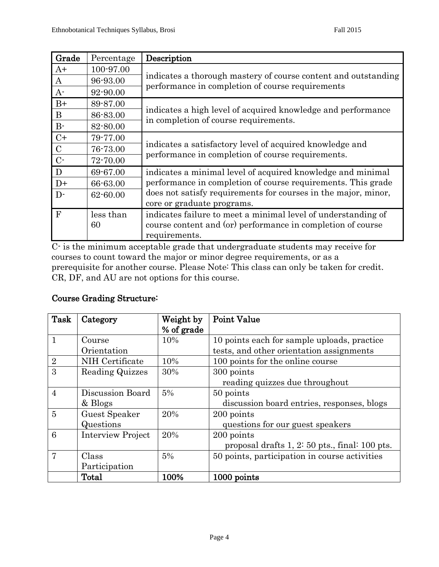| Grade        | Percentage | Description                                                                                           |  |
|--------------|------------|-------------------------------------------------------------------------------------------------------|--|
| $A+$         | 100-97.00  | indicates a thorough mastery of course content and outstanding                                        |  |
| A            | 96-93.00   |                                                                                                       |  |
| $A-$         | 92-90.00   | performance in completion of course requirements                                                      |  |
| $B+$         | 89-87.00   |                                                                                                       |  |
| $\bf{B}$     | 86-83.00   | indicates a high level of acquired knowledge and performance<br>in completion of course requirements. |  |
| $B-$         | 82-80.00   |                                                                                                       |  |
| $C+$         | 79-77.00   |                                                                                                       |  |
| $\mathbf C$  | 76-73.00   | indicates a satisfactory level of acquired knowledge and                                              |  |
| $C$ -        | 72-70.00   | performance in completion of course requirements.                                                     |  |
| $\mathbf{D}$ | 69-67.00   | indicates a minimal level of acquired knowledge and minimal                                           |  |
| $D+$         | 66-63.00   | performance in completion of course requirements. This grade                                          |  |
| $D-$         | 62-60.00   | does not satisfy requirements for courses in the major, minor,                                        |  |
|              |            | core or graduate programs.                                                                            |  |
| $\mathbf{F}$ | less than  | indicates failure to meet a minimal level of understanding of                                         |  |
|              | 60         | course content and (or) performance in completion of course                                           |  |
|              |            | requirements.                                                                                         |  |

C- is the minimum acceptable grade that undergraduate students may receive for courses to count toward the major or minor degree requirements, or as a prerequisite for another course. Please Note: This class can only be taken for credit. CR, DF, and AU are not options for this course.

## Course Grading Structure:

| Task           | Category                 | Weight by  | <b>Point Value</b>                               |
|----------------|--------------------------|------------|--------------------------------------------------|
|                |                          | % of grade |                                                  |
| $\mathbf{1}$   | Course                   | 10%        | 10 points each for sample uploads, practice      |
|                | Orientation              |            | tests, and other orientation assignments         |
| $\overline{2}$ | NIH Certificate          | 10%        | 100 points for the online course                 |
| 3              | Reading Quizzes          | 30%        | 300 points                                       |
|                |                          |            | reading quizzes due throughout                   |
| $\overline{4}$ | Discussion Board         | 5%         | 50 points                                        |
|                | & Blogs                  |            | discussion board entries, responses, blogs       |
| $\overline{5}$ | Guest Speaker            | 20%        | 200 points                                       |
|                | Questions                |            | questions for our guest speakers                 |
| 6              | <b>Interview Project</b> | 20%        | 200 points                                       |
|                |                          |            | proposal drafts $1, 2: 50$ pts., final: 100 pts. |
| 7              | Class                    | 5%         | 50 points, participation in course activities    |
|                | Participation            |            |                                                  |
|                | Total                    | 100%       | 1000 points                                      |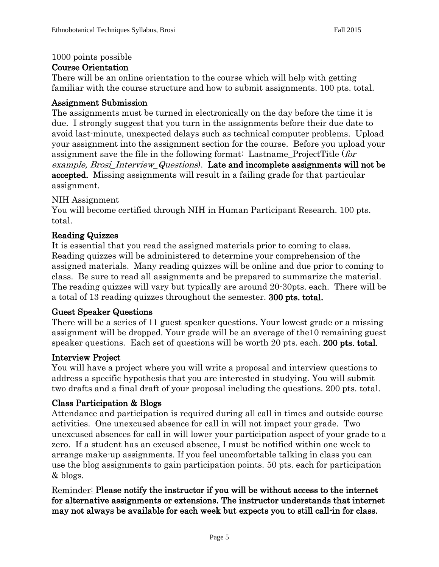#### 1000 points possible

#### Course Orientation

There will be an online orientation to the course which will help with getting familiar with the course structure and how to submit assignments. 100 pts. total.

#### Assignment Submission

The assignments must be turned in electronically on the day before the time it is due. I strongly suggest that you turn in the assignments before their due date to avoid last-minute, unexpected delays such as technical computer problems. Upload your assignment into the assignment section for the course. Before you upload your assignment save the file in the following format: Lastname\_ProjectTitle (for example, Brosi\_Interview\_Questions). Late and incomplete assignments will not be accepted. Missing assignments will result in a failing grade for that particular assignment.

#### NIH Assignment

You will become certified through NIH in Human Participant Research. 100 pts. total.

#### Reading Quizzes

It is essential that you read the assigned materials prior to coming to class. Reading quizzes will be administered to determine your comprehension of the assigned materials. Many reading quizzes will be online and due prior to coming to class. Be sure to read all assignments and be prepared to summarize the material. The reading quizzes will vary but typically are around 20-30pts. each. There will be a total of 13 reading quizzes throughout the semester. 300 pts. total.

#### Guest Speaker Questions

There will be a series of 11 guest speaker questions. Your lowest grade or a missing assignment will be dropped. Your grade will be an average of the10 remaining guest speaker questions. Each set of questions will be worth 20 pts. each. 200 pts. total.

#### Interview Project

You will have a project where you will write a proposal and interview questions to address a specific hypothesis that you are interested in studying. You will submit two drafts and a final draft of your proposal including the questions. 200 pts. total.

#### Class Participation & Blogs

Attendance and participation is required during all call in times and outside course activities. One unexcused absence for call in will not impact your grade. Two unexcused absences for call in will lower your participation aspect of your grade to a zero. If a student has an excused absence, I must be notified within one week to arrange make-up assignments. If you feel uncomfortable talking in class you can use the blog assignments to gain participation points. 50 pts. each for participation & blogs.

Reminder: Please notify the instructor if you will be without access to the internet for alternative assignments or extensions. The instructor understands that internet may not always be available for each week but expects you to still call-in for class.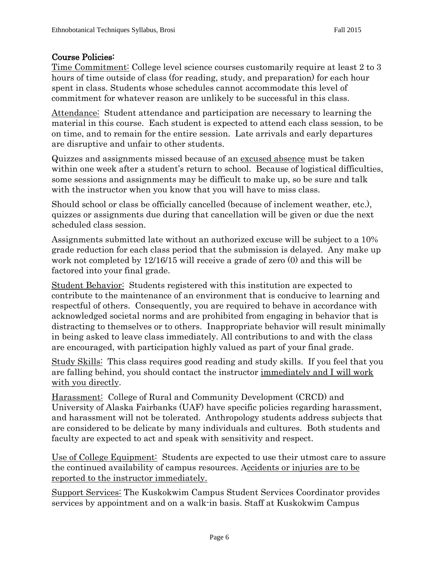#### Course Policies:

Time Commitment: College level science courses customarily require at least 2 to 3 hours of time outside of class (for reading, study, and preparation) for each hour spent in class. Students whose schedules cannot accommodate this level of commitment for whatever reason are unlikely to be successful in this class.

Attendance: Student attendance and participation are necessary to learning the material in this course. Each student is expected to attend each class session, to be on time, and to remain for the entire session. Late arrivals and early departures are disruptive and unfair to other students.

Quizzes and assignments missed because of an excused absence must be taken within one week after a student's return to school. Because of logistical difficulties, some sessions and assignments may be difficult to make up, so be sure and talk with the instructor when you know that you will have to miss class.

Should school or class be officially cancelled (because of inclement weather, etc.), quizzes or assignments due during that cancellation will be given or due the next scheduled class session.

Assignments submitted late without an authorized excuse will be subject to a 10% grade reduction for each class period that the submission is delayed. Any make up work not completed by 12/16/15 will receive a grade of zero (0) and this will be factored into your final grade.

Student Behavior: Students registered with this institution are expected to contribute to the maintenance of an environment that is conducive to learning and respectful of others. Consequently, you are required to behave in accordance with acknowledged societal norms and are prohibited from engaging in behavior that is distracting to themselves or to others. Inappropriate behavior will result minimally in being asked to leave class immediately. All contributions to and with the class are encouraged, with participation highly valued as part of your final grade.

Study Skills: This class requires good reading and study skills. If you feel that you are falling behind, you should contact the instructor immediately and I will work with you directly.

Harassment: College of Rural and Community Development (CRCD) and University of Alaska Fairbanks (UAF) have specific policies regarding harassment, and harassment will not be tolerated. Anthropology students address subjects that are considered to be delicate by many individuals and cultures. Both students and faculty are expected to act and speak with sensitivity and respect.

Use of College Equipment: Students are expected to use their utmost care to assure the continued availability of campus resources. Accidents or injuries are to be reported to the instructor immediately.

Support Services: The Kuskokwim Campus Student Services Coordinator provides services by appointment and on a walk-in basis. Staff at Kuskokwim Campus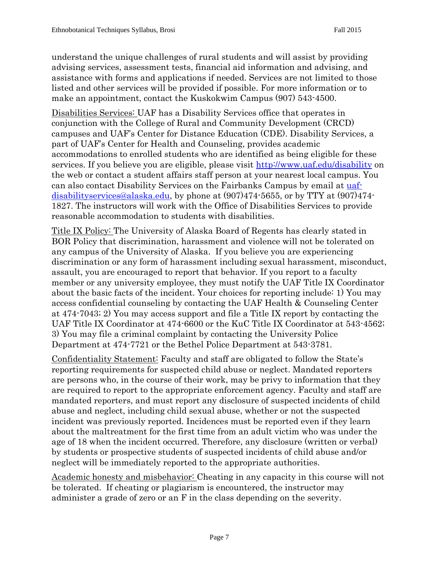understand the unique challenges of rural students and will assist by providing advising services, assessment tests, financial aid information and advising, and assistance with forms and applications if needed. Services are not limited to those listed and other services will be provided if possible. For more information or to make an appointment, contact the Kuskokwim Campus (907) 543-4500.

Disabilities Services: UAF has a Disability Services office that operates in conjunction with the College of Rural and Community Development (CRCD) campuses and UAF's Center for Distance Education (CDE). Disability Services, a part of UAF's Center for Health and Counseling, provides academic accommodations to enrolled students who are identified as being eligible for these services. If you believe you are eligible, please visit<http://www.uaf.edu/disability> on the web or contact a student affairs staff person at your nearest local campus. You can also contact Disability Services on the Fairbanks Campus by email at [uaf](mailto:uaf-disabilityservices@alaska.edu)[disabilityservices@alaska.edu,](mailto:uaf-disabilityservices@alaska.edu) by phone at (907)474-5655, or by TTY at (907)474- 1827. The instructors will work with the Office of Disabilities Services to provide reasonable accommodation to students with disabilities.

Title IX Policy: The University of Alaska Board of Regents has clearly stated in BOR Policy that discrimination, harassment and violence will not be tolerated on any campus of the University of Alaska. If you believe you are experiencing discrimination or any form of harassment including sexual harassment, misconduct, assault, you are encouraged to report that behavior. If you report to a faculty member or any university employee, they must notify the UAF Title IX Coordinator about the basic facts of the incident. Your choices for reporting include: 1) You may access confidential counseling by contacting the UAF Health & Counseling Center at 474-7043; 2) You may access support and file a Title IX report by contacting the UAF Title IX Coordinator at 474-6600 or the KuC Title IX Coordinator at 543-4562; 3) You may file a criminal complaint by contacting the University Police Department at 474-7721 or the Bethel Police Department at 543-3781.

Confidentiality Statement: Faculty and staff are obligated to follow the State's reporting requirements for suspected child abuse or neglect. Mandated reporters are persons who, in the course of their work, may be privy to information that they are required to report to the appropriate enforcement agency. Faculty and staff are mandated reporters, and must report any disclosure of suspected incidents of child abuse and neglect, including child sexual abuse, whether or not the suspected incident was previously reported. Incidences must be reported even if they learn about the maltreatment for the first time from an adult victim who was under the age of 18 when the incident occurred. Therefore, any disclosure (written or verbal) by students or prospective students of suspected incidents of child abuse and/or neglect will be immediately reported to the appropriate authorities.

Academic honesty and misbehavior: Cheating in any capacity in this course will not be tolerated. If cheating or plagiarism is encountered, the instructor may administer a grade of zero or an F in the class depending on the severity.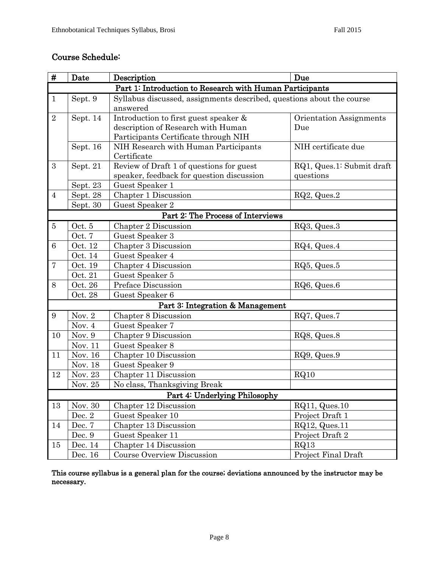## Course Schedule:

| #                             | Date                                                     | Description                                                           | Due                       |  |  |  |
|-------------------------------|----------------------------------------------------------|-----------------------------------------------------------------------|---------------------------|--|--|--|
|                               | Part 1: Introduction to Research with Human Participants |                                                                       |                           |  |  |  |
| $\mathbf{1}$                  | Sept. 9                                                  | Syllabus discussed, assignments described, questions about the course |                           |  |  |  |
|                               |                                                          | answered                                                              |                           |  |  |  |
| $\sqrt{2}$                    | Sept. 14                                                 | Introduction to first guest speaker &                                 | Orientation Assignments   |  |  |  |
|                               |                                                          | description of Research with Human                                    | Due                       |  |  |  |
|                               |                                                          | Participants Certificate through NIH                                  |                           |  |  |  |
|                               | Sept. 16                                                 | NIH Research with Human Participants                                  | NIH certificate due       |  |  |  |
|                               |                                                          | Certificate                                                           |                           |  |  |  |
| 3                             | Sept. 21                                                 | Review of Draft 1 of questions for guest                              | RQ1, Ques.1: Submit draft |  |  |  |
|                               |                                                          | speaker, feedback for question discussion                             | questions                 |  |  |  |
|                               | Sept. 23                                                 | Guest Speaker 1                                                       |                           |  |  |  |
| $\overline{4}$                | Sept. 28                                                 | Chapter 1 Discussion                                                  | $RQ2$ , Ques.2            |  |  |  |
|                               | Sept. 30                                                 | Guest Speaker 2                                                       |                           |  |  |  |
|                               | Part 2: The Process of Interviews                        |                                                                       |                           |  |  |  |
| $\bf 5$                       | Oct. 5                                                   | Chapter 2 Discussion                                                  | RQ3, Ques.3               |  |  |  |
|                               | Oct. 7                                                   | Guest Speaker 3                                                       |                           |  |  |  |
| $6\phantom{.}6$               | Oct. 12                                                  | Chapter 3 Discussion                                                  | RQ4, Ques.4               |  |  |  |
|                               | Oct. 14                                                  | Guest Speaker 4                                                       |                           |  |  |  |
| $\overline{7}$                | Oct. 19                                                  | Chapter 4 Discussion                                                  | $RQ5$ , Ques. $5$         |  |  |  |
|                               | Oct. 21                                                  | Guest Speaker 5                                                       |                           |  |  |  |
| 8                             | Oct. 26                                                  | Preface Discussion                                                    | RQ6, Ques.6               |  |  |  |
|                               | Oct. 28                                                  | Guest Speaker 6                                                       |                           |  |  |  |
|                               |                                                          | Part 3: Integration & Management                                      |                           |  |  |  |
| 9                             | Nov. $2$                                                 | Chapter 8 Discussion                                                  | RQ7, Ques.7               |  |  |  |
|                               | Nov. 4                                                   | Guest Speaker 7                                                       |                           |  |  |  |
| 10                            | Nov. 9                                                   | Chapter 9 Discussion                                                  | RQ8, Ques.8               |  |  |  |
|                               | Nov. 11                                                  | Guest Speaker 8                                                       |                           |  |  |  |
| 11                            | Nov. 16                                                  | Chapter 10 Discussion                                                 | RQ9, Ques.9               |  |  |  |
|                               | Nov. 18                                                  | Guest Speaker 9                                                       |                           |  |  |  |
| 12                            | Nov. 23                                                  | Chapter 11 Discussion                                                 | RQ10                      |  |  |  |
|                               | Nov. 25                                                  | No class, Thanksgiving Break                                          |                           |  |  |  |
| Part 4: Underlying Philosophy |                                                          |                                                                       |                           |  |  |  |
| 13                            | Nov. 30                                                  | Chapter 12 Discussion                                                 | RQ11, Ques.10             |  |  |  |
|                               | Dec. 2                                                   | Guest Speaker 10                                                      | Project Draft 1           |  |  |  |
| 14                            | Dec. 7                                                   | Chapter 13 Discussion                                                 | $RQ12$ , Ques.11          |  |  |  |
|                               | Dec. 9                                                   | Guest Speaker 11                                                      | Project Draft 2           |  |  |  |
| 15                            | Dec. 14                                                  | Chapter 14 Discussion                                                 | RQ13                      |  |  |  |
|                               | Dec. 16                                                  | Course Overview Discussion                                            | Project Final Draft       |  |  |  |

This course syllabus is a general plan for the course; deviations announced by the instructor may be necessary.